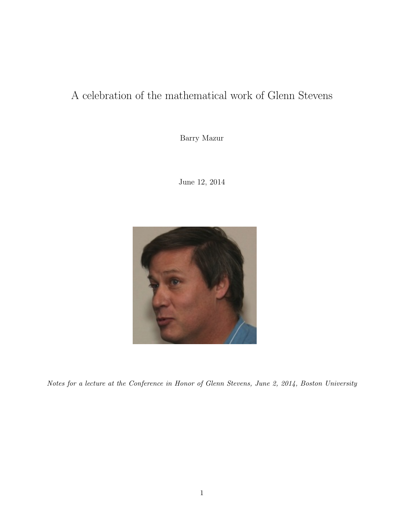## A celebration of the mathematical work of Glenn Stevens

Barry Mazur

June 12, 2014



*Notes for a lecture at the Conference in Honor of Glenn Stevens, June 2, 2014, Boston University*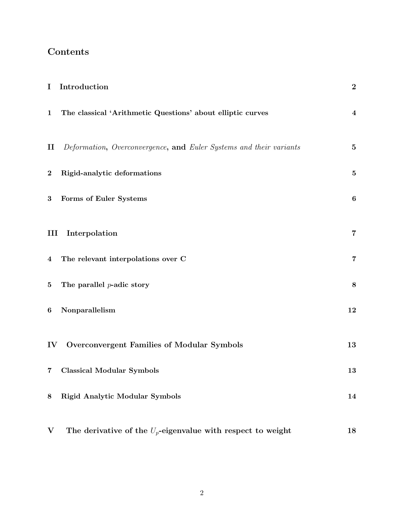## Contents

| I                | Introduction                                                       | $\boldsymbol{2}$ |
|------------------|--------------------------------------------------------------------|------------------|
| $\mathbf{1}$     | The classical 'Arithmetic Questions' about elliptic curves         | $\bf{4}$         |
| $\mathbf{I}$     | Deformation, Overconvergence, and Euler Systems and their variants | $\mathbf{5}$     |
| $\boldsymbol{2}$ | Rigid-analytic deformations                                        | ${\bf 5}$        |
| $\bf{3}$         | Forms of Euler Systems                                             | 6                |
| Ш                | Interpolation                                                      | $\overline{7}$   |
| 4                | The relevant interpolations over C                                 | 7                |
| $\bf{5}$         | The parallel $p$ -adic story                                       | $\bf 8$          |
| 6                | Nonparallelism                                                     | 12               |
| $\mathbf{IV}$    | Overconvergent Families of Modular Symbols                         | 13               |
| $\overline{7}$   | <b>Classical Modular Symbols</b>                                   | 13               |
| 8                | <b>Rigid Analytic Modular Symbols</b>                              | 14               |
| V                | The derivative of the $U_p$ -eigenvalue with respect to weight     | 18               |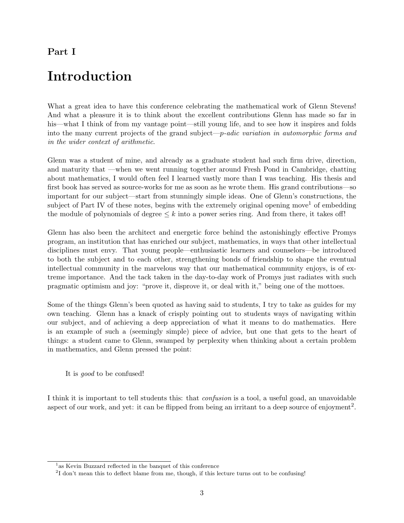## Part I

# Introduction

What a great idea to have this conference celebrating the mathematical work of Glenn Stevens! And what a pleasure it is to think about the excellent contributions Glenn has made so far in his—what I think of from my vantage point—still young life, and to see how it inspires and folds into the many current projects of the grand subject—p*-adic variation in automorphic forms and in the wider context of arithmetic*.

Glenn was a student of mine, and already as a graduate student had such firm drive, direction, and maturity that —when we went running together around Fresh Pond in Cambridge, chatting about mathematics, I would often feel I learned vastly more than I was teaching. His thesis and first book has served as source-works for me as soon as he wrote them. His grand contributions—so important for our subject—start from stunningly simple ideas. One of Glenn's constructions, the subject of Part IV of these notes, begins with the extremely original opening move<sup>1</sup> of embedding the module of polynomials of degree  $\leq k$  into a power series ring. And from there, it takes off!

Glenn has also been the architect and energetic force behind the astonishingly effective Promys program, an institution that has enriched our subject, mathematics, in ways that other intellectual disciplines must envy. That young people—enthusiastic learners and counselors—be introduced to both the subject and to each other, strengthening bonds of friendship to shape the eventual intellectual community in the marvelous way that our mathematical community enjoys, is of extreme importance. And the tack taken in the day-to-day work of Promys just radiates with such pragmatic optimism and joy: "prove it, disprove it, or deal with it," being one of the mottoes.

Some of the things Glenn's been quoted as having said to students, I try to take as guides for my own teaching. Glenn has a knack of crisply pointing out to students ways of navigating within our subject, and of achieving a deep appreciation of what it means to do mathematics. Here is an example of such a (seemingly simple) piece of advice, but one that gets to the heart of things: a student came to Glenn, swamped by perplexity when thinking about a certain problem in mathematics, and Glenn pressed the point:

### It is *good* to be confused!

I think it is important to tell students this: that *confusion* is a tool, a useful goad, an unavoidable aspect of our work, and yet: it can be flipped from being an irritant to a deep source of enjoyment<sup>2</sup>.

<sup>&</sup>lt;sup>1</sup> as Kevin Buzzard reflected in the banquet of this conference

<sup>2</sup>I don't mean this to deflect blame from me, though, if this lecture turns out to be confusing!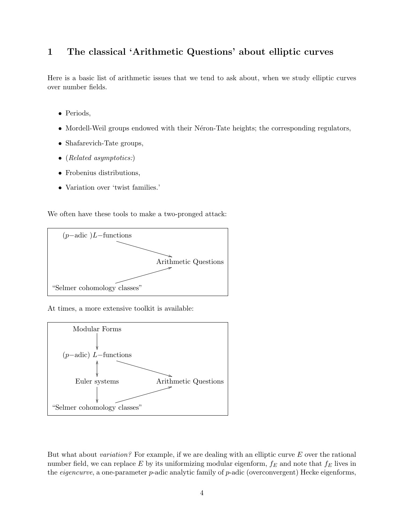## 1 The classical 'Arithmetic Questions' about elliptic curves

Here is a basic list of arithmetic issues that we tend to ask about, when we study elliptic curves over number fields.

- Periods,
- Mordell-Weil groups endowed with their Néron-Tate heights; the corresponding regulators,
- Shafarevich-Tate groups,
- (*Related asymptotics:*)
- Frobenius distributions,
- Variation over 'twist families.'

We often have these tools to make a two-pronged attack:



At times, a more extensive toolkit is available:



But what about *variation?* For example, if we are dealing with an elliptic curve E over the rational number field, we can replace E by its uniformizing modular eigenform,  $f_E$  and note that  $f_E$  lives in the *eigencurve*, a one-parameter p-adic analytic family of p-adic (overconvergent) Hecke eigenforms,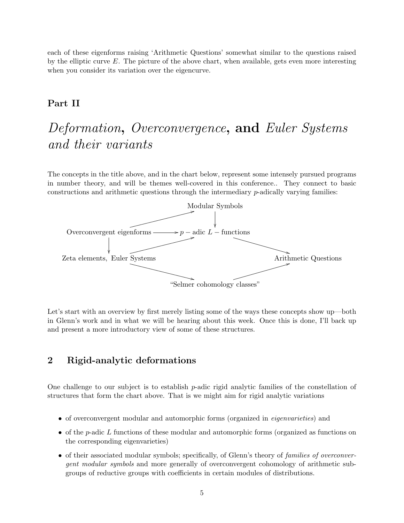each of these eigenforms raising 'Arithmetic Questions' somewhat similar to the questions raised by the elliptic curve  $E$ . The picture of the above chart, when available, gets even more interesting when you consider its variation over the eigencurve.

## Part II

# *Deformation*, *Overconvergence*, and *Euler Systems and their variants*

The concepts in the title above, and in the chart below, represent some intensely pursued programs in number theory, and will be themes well-covered in this conference.. They connect to basic constructions and arithmetic questions through the intermediary p-adically varying families:



Let's start with an overview by first merely listing some of the ways these concepts show up—both in Glenn's work and in what we will be hearing about this week. Once this is done, I'll back up and present a more introductory view of some of these structures.

## 2 Rigid-analytic deformations

One challenge to our subject is to establish  $p$ -adic rigid analytic families of the constellation of structures that form the chart above. That is we might aim for rigid analytic variations

- of overconvergent modular and automorphic forms (organized in *eigenvarieties*) and
- of the p-adic L functions of these modular and automorphic forms (organized as functions on the corresponding eigenvarieties)
- of their associated modular symbols; specifically, of Glenn's theory of *families of overconvergent modular symbols* and more generally of overconvergent cohomology of arithmetic subgroups of reductive groups with coefficients in certain modules of distributions.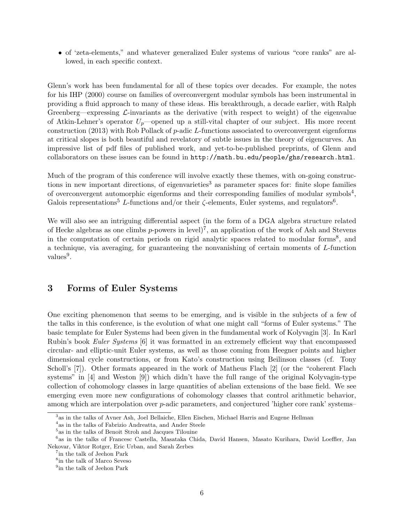• of 'zeta-elements," and whatever generalized Euler systems of various "core ranks" are allowed, in each specific context.

Glenn's work has been fundamental for all of these topics over decades. For example, the notes for his IHP (2000) course on families of overconvergent modular symbols has been instrumental in providing a fluid approach to many of these ideas. His breakthrough, a decade earlier, with Ralph Greenberg—expressing  $\mathcal{L}$ -invariants as the derivative (with respect to weight) of the eigenvalue of Atkin-Lehner's operator  $U_p$ —opened up a still-vital chapter of our subject. His more recent construction (2013) with Rob Pollack of  $p$ -adic L-functions associated to overconvergent eigenforms at critical slopes is both beautiful and revelatory of subtle issues in the theory of eigencurves. An impressive list of pdf files of published work, and yet-to-be-published preprints, of Glenn and collaborators on these issues can be found in http://math.bu.edu/people/ghs/research.html.

Much of the program of this conference will involve exactly these themes, with on-going constructions in new important directions, of eigenvarieties<sup>3</sup> as parameter spaces for: finite slope families of overconvergent automorphic eigenforms and their corresponding families of modular symbols<sup>4</sup>, Galois representations<sup>5</sup> L-functions and/or their  $\zeta$ -elements, Euler systems, and regulators<sup>6</sup>.

We will also see an intriguing differential aspect (in the form of a DGA algebra structure related of Hecke algebras as one climbs  $p$ -powers in level)<sup>7</sup>, an application of the work of Ash and Stevens in the computation of certain periods on rigid analytic spaces related to modular forms<sup>8</sup>, and a technique, via averaging, for guaranteeing the nonvanishing of certain moments of L-function values<sup>9</sup>.

### 3 Forms of Euler Systems

One exciting phenomenon that seems to be emerging, and is visible in the subjects of a few of the talks in this conference, is the evolution of what one might call "forms of Euler systems." The basic template for Euler Systems had been given in the fundamental work of Kolyvagin [3]. In Karl Rubin's book *Euler Systems* [6] it was formatted in an extremely efficient way that encompassed circular- and elliptic-unit Euler systems, as well as those coming from Heegner points and higher dimensional cycle constructions, or from Kato's construction using Beilinson classes (cf. Tony Scholl's [7]). Other formats appeared in the work of Matheus Flach [2] (or the "coherent Flach systems" in [4] and Weston [9]) which didn't have the full range of the original Kolyvagin-type collection of cohomology classes in large quantities of abelian extensions of the base field. We see emerging even more new configurations of cohomology classes that control arithmetic behavior, among which are interpolation over p-adic parameters, and conjectured 'higher core rank' systems–

<sup>3</sup>as in the talks of Avner Ash, Joel Bellaiche, Ellen Eischen, Michael Harris and Eugene Hellman

<sup>4</sup>as in the talks of Fabrizio Andreatta, and Ander Steele

 $^{5}\mathrm{as}$  in the talks of Benoit Stroh and Jacques Tilouine

<sup>6</sup>as in the talks of Francesc Castella, Masataka Chida, David Hansen, Masato Kurihara, David Loeffler, Jan Nekovar, Viktor Rotger, Eric Urban, and Sarah Zerbes

<sup>7</sup>in the talk of Jeehon Park

<sup>8</sup>in the talk of Marco Seveso

<sup>&</sup>lt;sup>9</sup>in the talk of Jeehon Park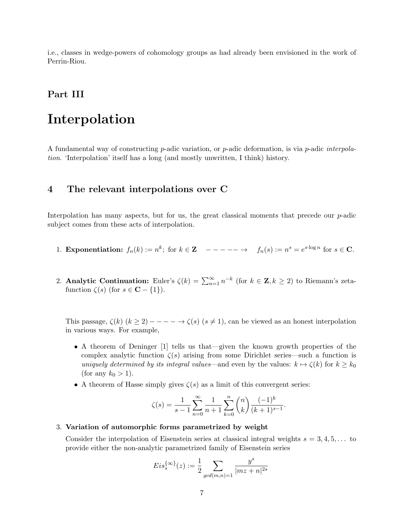i.e., classes in wedge-powers of cohomology groups as had already been envisioned in the work of Perrin-Riou.

## Part III

## Interpolation

A fundamental way of constructing p-adic variation, or p-adic deformation, is via p-adic *interpolation*. 'Interpolation' itself has a long (and mostly unwritten, I think) history.

## 4 The relevant interpolations over C

Interpolation has many aspects, but for us, the great classical moments that precede our  $p$ -adic subject comes from these acts of interpolation.

- 1. **Exponentiation:**  $f_n(k) := n^k$ ; for  $k \in \mathbb{Z}$   $- - - \rightarrow$   $f_n(s) := n^s = e^{s \cdot \log n}$  for  $s \in \mathbb{C}$ .
- 2. Analytic Continuation: Euler's  $\zeta(k) = \sum_{n=1}^{\infty} n^{-k}$  (for  $k \in \mathbb{Z}, k \geq 2$ ) to Riemann's zetafunction  $\zeta(s)$  (for  $s \in \mathbf{C} - \{1\}$ ).

This passage,  $\zeta(k)$   $(k \geq 2)$  – – – – →  $\zeta(s)$   $(s \neq 1)$ , can be viewed as an honest interpolation in various ways. For example,

- A theorem of Deninger [1] tells us that—given the known growth properties of the complex analytic function  $\zeta(s)$  arising from some Dirichlet series—such a function is *uniquely determined by its integral values*—and even by the values:  $k \mapsto \zeta(k)$  for  $k \geq k_0$ (for any  $k_0 > 1$ ).
- A theorem of Hasse simply gives  $\zeta(s)$  as a limit of this convergent series:

$$
\zeta(s) = \frac{1}{s-1} \sum_{n=0}^{\infty} \frac{1}{n+1} \sum_{k=0}^{n} {n \choose k} \frac{(-1)^k}{(k+1)^{s-1}}.
$$

#### 3. Variation of automorphic forms parametrized by weight

Consider the interpolation of Eisenstein series at classical integral weights  $s = 3, 4, 5, \ldots$  to provide either the non-analytic parametrized family of Eisenstein series

$$
Eis_s^{\{\infty\}}(z) := \frac{1}{2} \sum_{gcd(m,n)=1} \frac{y^s}{|mz+n|^{2s}}
$$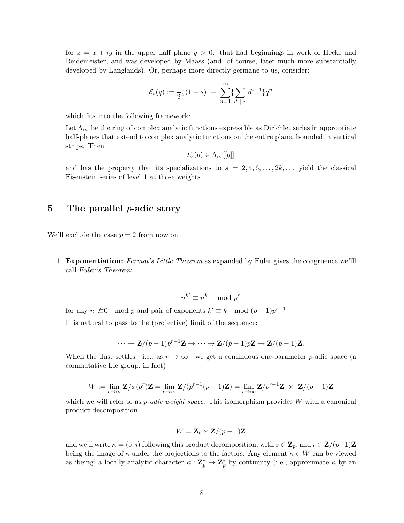for  $z = x + iy$  in the upper half plane  $y > 0$ . that had beginnings in work of Hecke and Reidemeister, and was developed by Maass (and, of course, later much more substantially developed by Langlands). Or, perhaps more directly germane to us, consider:

$$
\mathcal{E}_s(q) := \frac{1}{2}\zeta(1-s) + \sum_{n=1}^{\infty} \{\sum_{d \mid n} d^{s-1}\} q^n
$$

which fits into the following framework:

Let  $\Lambda_{\infty}$  be the ring of complex analytic functions expressible as Dirichlet series in appropriate half-planes that extend to complex analytic functions on the entire plane, bounded in vertical strips. Then

$$
\mathcal{E}_s(q) \in \Lambda_\infty[[q]]
$$

and has the property that its specializations to  $s = 2, 4, 6, \ldots, 2k, \ldots$  yield the classical Eisenstein series of level 1 at those weights.

## 5 The parallel *p*-adic story

We'll exclude the case  $p = 2$  from now on.

1. Exponentiation: *Fermat's Little Theorem* as expanded by Euler gives the congruence we'lll call *Euler's Theorem*:

$$
n^{k'} \equiv n^k \mod p^r
$$

for any  $n \not\equiv 0 \mod p$  and pair of exponents  $k' \equiv k \mod (p-1)p^{r-1}$ .

It is natural to pass to the (projective) limit of the sequence:

$$
\cdots \to \mathbf{Z}/(p-1)p^{r-1}\mathbf{Z} \to \cdots \to \mathbf{Z}/(p-1)p\mathbf{Z} \to \mathbf{Z}/(p-1)\mathbf{Z}.
$$

When the dust settles—i.e., as  $r \mapsto \infty$ —we get a continuous one-parameter p-adic space (a commutative Lie group, in fact)

$$
W := \lim_{r \to \infty} \mathbf{Z} / \phi(p^r) \mathbf{Z} = \lim_{r \to \infty} \mathbf{Z} / (p^{r-1}(p-1)\mathbf{Z}) = \lim_{r \to \infty} \mathbf{Z} / p^{r-1} \mathbf{Z} \times \mathbf{Z} / (p-1)\mathbf{Z}
$$

which we will refer to as p*-adic weight space*. This isomorphism provides W with a canonical product decomposition

$$
W = \mathbf{Z}_p \times \mathbf{Z}/(p-1)\mathbf{Z}
$$

and we'll write  $\kappa = (s, i)$  following this product decomposition, with  $s \in \mathbf{Z}_p$ , and  $i \in \mathbf{Z}/(p-1)\mathbf{Z}$ being the image of  $\kappa$  under the projections to the factors. Any element  $\kappa \in W$  can be viewed as 'being' a locally analytic character  $\kappa : \mathbb{Z}_p^* \to \mathbb{Z}_p^*$  by continuity (i.e., approximate  $\kappa$  by an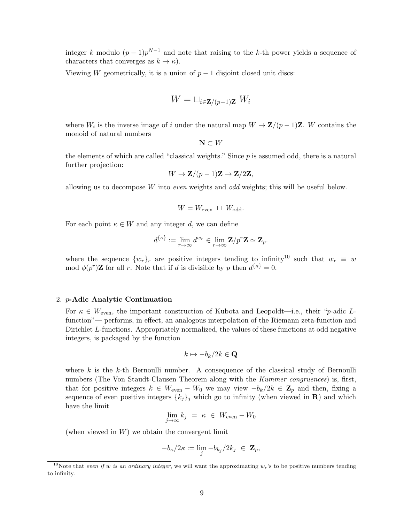integer k modulo  $(p-1)p^{N-1}$  and note that raising to the k-th power yields a sequence of characters that converges as  $k \to \kappa$ ).

Viewing W geometrically, it is a union of  $p-1$  disjoint closed unit discs:

$$
W=\sqcup_{i\in\mathbf{Z}/(p-1)\mathbf{Z}}\ W_i
$$

where  $W_i$  is the inverse image of i under the natural map  $W \to \mathbf{Z}/(p-1)\mathbf{Z}$ . W contains the monoid of natural numbers

 $N \subset W$ 

the elements of which are called "classical weights." Since  $p$  is assumed odd, there is a natural further projection:

$$
W \to \mathbf{Z}/(p-1)\mathbf{Z} \to \mathbf{Z}/2\mathbf{Z},
$$

allowing us to decompose W into *even* weights and *odd* weights; this will be useful below.

$$
W = W_{\text{even}} \ \sqcup \ W_{\text{odd}}.
$$

For each point  $\kappa \in W$  and any integer d, we can define

$$
d^{\{\kappa\}}:=\lim_{r\to\infty}d^{w_r}\in\lim_{r\to\infty}\mathbf{Z}/p^r\mathbf{Z}\simeq\mathbf{Z}_p.
$$

where the sequence  $\{w_r\}_r$  are positive integers tending to infinity<sup>10</sup> such that  $w_r \equiv w$ mod  $\phi(p^r)\mathbf{Z}$  for all r. Note that if d is divisible by p then  $d^{\{\kappa\}}=0$ .

#### 2. p-Adic Analytic Continuation

For  $\kappa \in W_{\text{even}}$ , the important construction of Kubota and Leopoldt—i.e., their "p-adic Lfunction"— performs, in effect, an analogous interpolation of the Riemann zeta-function and Dirichlet L-functions. Appropriately normalized, the values of these functions at odd negative integers, is packaged by the function

$$
k \mapsto -b_k/2k \in \mathbf{Q}
$$

where  $k$  is the  $k$ -th Bernoulli number. A consequence of the classical study of Bernoulli numbers (The Von Staudt-Clausen Theorem along with the *Kummer congruences*) is, first, that for positive integers  $k \in W_{\text{even}} - W_0$  we may view  $-b_k/2k \in \mathbb{Z}_p$  and then, fixing a sequence of even positive integers  $\{k_j\}_j$  which go to infinity (when viewed in **R**) and which have the limit

$$
\lim_{j \to \infty} k_j = \kappa \in W_{\text{even}} - W_0
$$

(when viewed in  $W$ ) we obtain the convergent limit

$$
-b_{\kappa}/2\kappa := \lim_{j} -b_{k_j}/2k_j \in \mathbf{Z}_p,
$$

<sup>&</sup>lt;sup>10</sup>Note that *even if w is an ordinary integer*, we will want the approximating  $w_r$ 's to be positive numbers tending to infinity.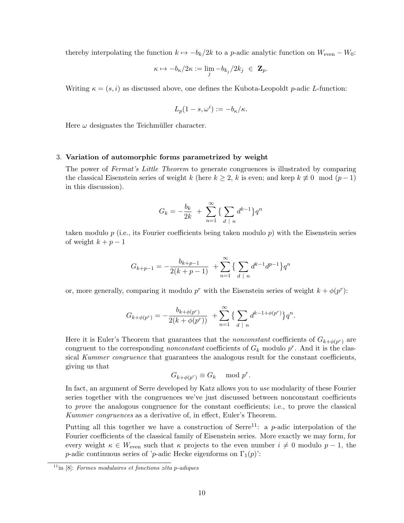thereby interpolating the function  $k \mapsto -b_k/2k$  to a p-adic analytic function on  $W_{\text{even}} - W_0$ :

$$
\kappa \mapsto -b_{\kappa}/2\kappa := \lim_j -b_{k_j}/2k_j \in \mathbf{Z}_p.
$$

Writing  $\kappa = (s, i)$  as discussed above, one defines the Kubota-Leopoldt p-adic L-function:

$$
L_p(1-s,\omega^i):=-b_{\kappa}/\kappa.
$$

Here  $\omega$  designates the Teichmüller character.

#### 3. Variation of automorphic forms parametrized by weight

The power of *Fermat's Little Theorem* to generate congruences is illustrated by comparing the classical Eisenstein series of weight k (here  $k \geq 2$ , k is even; and keep  $k \neq 0 \mod (p-1)$ in this discussion).

$$
G_k = -\frac{b_k}{2k} + \sum_{n=1}^{\infty} \left\{ \sum_{d \mid n} d^{k-1} \right\} q^n
$$

taken modulo p (i.e., its Fourier coefficients being taken modulo p) with the Eisenstein series of weight  $k + p - 1$ 

$$
G_{k+p-1} = -\frac{b_{k+p-1}}{2(k+p-1)} + \sum_{n=1}^{\infty} \left\{ \sum_{d \mid n} d^{k-1} d^{p-1} \right\} q^n
$$

or, more generally, comparing it modulo  $p^r$  with the Eisenstein series of weight  $k + \phi(p^r)$ :

$$
G_{k+\phi(p^r)} = -\frac{b_{k+\phi(p^r)}}{2(k+\phi(p^r))} + \sum_{n=1}^{\infty} \left\{ \sum_{d \; | \; n} d^{k-1+\phi(p^r)} \right\} q^n.
$$

Here it is Euler's Theorem that guarantees that the *nonconstant* coefficients of  $G_{k+\phi(p^r)}$  are congruent to the corresponding *nonconstant* coefficients of  $G_k$  modulo  $p^r$ . And it is the classical *Kummer congruence* that guarantees the analogous result for the constant coefficients, giving us that

$$
G_{k+\phi(p^r)} \equiv G_k \mod p^r.
$$

In fact, an argument of Serre developed by Katz allows you to *use* modularity of these Fourier series together with the congruences we've just discussed between nonconstant coefficients to *prove* the analogous congruence for the constant coefficients; i.e., to prove the classical *Kummer congruences* as a derivative of, in effect, Euler's Theorem.

Putting all this together we have a construction of Serre<sup>11</sup>: a p-adic interpolation of the Fourier coefficients of the classical family of Eisenstein series. More exactly we may form, for every weight  $\kappa \in W_{\text{even}}$  such that  $\kappa$  projects to the even number  $i \neq 0$  modulo  $p-1$ , the p-adic continuous series of 'p-adic Hecke eigenforms on  $\Gamma_1(p)$ ':

<sup>&</sup>lt;sup>11</sup>in [8]: *Formes modulaires et fonctions zêta p-adiques*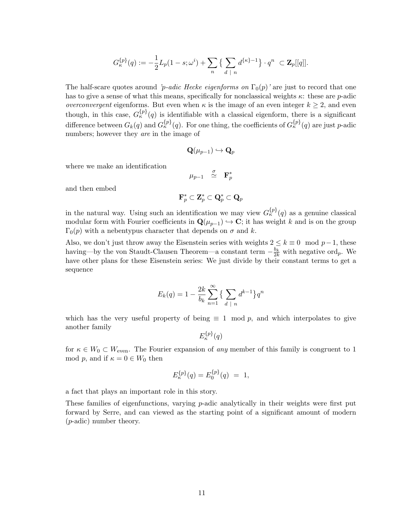$$
G_{\kappa}^{\{p\}}(q) := -\frac{1}{2}L_p(1-s;\omega^i) + \sum_n \left\{ \sum_{d \; | \; n} d^{\{\kappa\}-1} \right\} \cdot q^n \; \subset \mathbf{Z}_p[[q]].
$$

The half-scare quotes around *'p-adic Hecke eigenforms on*  $\Gamma_0(p)$ ' are just to record that one has to give a sense of what this means, specifically for nonclassical weights  $\kappa$ : these are p-adic *overconvergent* eigenforms. But even when  $\kappa$  is the image of an even integer  $k \geq 2$ , and even though, in this case,  $G_{\kappa}^{\{p\}}(q)$  is identifiable with a classical eigenform, there is a significant difference between  $G_k(q)$  and  $G_k^{\{p\}}(q)$ . For one thing, the coefficients of  $G_k^{\{p\}}(q)$  are just p-adic numbers; however they *are* in the image of

$$
\mathbf{Q}(\mu_{p-1}) \hookrightarrow \mathbf{Q}_p
$$

where we make an identification

$$
\mu_{p-1} \quad \stackrel{\sigma}{\simeq} \quad \mathbf{F}_p^*
$$

and then embed

$$
\mathbf{F}_p^* \subset \mathbf{Z}_p^* \subset \mathbf{Q}_p^* \subset \mathbf{Q}_p
$$

in the natural way. Using such an identification we may view  $G_{\kappa}^{\{p\}}(q)$  as a genuine classical modular form with Fourier coefficients in  $\mathbf{Q}(\mu_{p-1}) \hookrightarrow \mathbf{C}$ ; it has weight k and is on the group  $\Gamma_0(p)$  with a nebentypus character that depends on  $\sigma$  and k.

Also, we don't just throw away the Eisenstein series with weights  $2 \leq k \equiv 0 \mod p-1$ , these having—by the von Staudt-Clausen Theorem—a constant term  $-\frac{b_k}{2k}$  with negative ord<sub>p</sub>. We have other plans for these Eisenstein series: We just divide by their constant terms to get a sequence

$$
E_k(q) = 1 - \frac{2k}{b_k} \sum_{n=1}^{\infty} \left\{ \sum_{d \mid n} d^{k-1} \right\} q^n
$$

which has the very useful property of being  $\equiv 1 \mod p$ , and which interpolates to give another family

 $E_{r}^{\{p\}}(q)$ 

for  $\kappa \in W_0 \subset W_{\text{even}}$ . The Fourier expansion of *any* member of this family is congruent to 1 mod p, and if  $\kappa = 0 \in W_0$  then

$$
E_{\kappa}^{\{p\}}(q) = E_0^{\{p\}}(q) = 1,
$$

a fact that plays an important role in this story.

These families of eigenfunctions, varying p-adic analytically in their weights were first put forward by Serre, and can viewed as the starting point of a significant amount of modern (p-adic) number theory.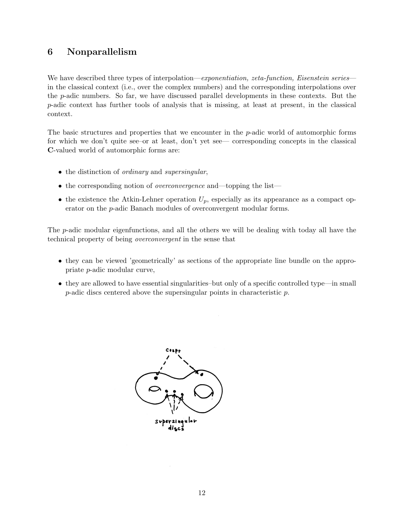## 6 Nonparallelism

We have described three types of interpolation—*exponentiation, zeta-function, Eisenstein series* in the classical context (i.e., over the complex numbers) and the corresponding interpolations over the p-adic numbers. So far, we have discussed parallel developments in these contexts. But the p-adic context has further tools of analysis that is missing, at least at present, in the classical context.

The basic structures and properties that we encounter in the  $p$ -adic world of automorphic forms for which we don't quite see–or at least, don't yet see— corresponding concepts in the classical C-valued world of automorphic forms are:

- the distinction of *ordinary* and *supersingular*,
- the corresponding notion of *overconvergence* and—topping the list—
- the existence the Atkin-Lehner operation  $U_p$ , especially as its appearance as a compact operator on the p-adic Banach modules of overconvergent modular forms.

The p-adic modular eigenfunctions, and all the others we will be dealing with today all have the technical property of being *overconvergent* in the sense that

- they can be viewed 'geometrically' as sections of the appropriate line bundle on the appropriate p-adic modular curve,
- they are allowed to have essential singularities–but only of a specific controlled type—in small  $p$ -adic discs centered above the supersingular points in characteristic  $p$ .

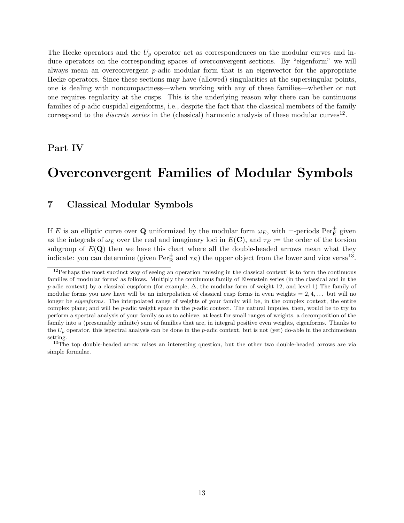The Hecke operators and the  $U_p$  operator act as correspondences on the modular curves and induce operators on the corresponding spaces of overconvergent sections. By "eigenform" we will always mean an overconvergent p-adic modular form that is an eigenvector for the appropriate Hecke operators. Since these sections may have (allowed) singularities at the supersingular points, one is dealing with noncompactness—when working with any of these families—whether or not one requires regularity at the cusps. This is the underlying reason why there can be continuous families of p-adic cuspidal eigenforms, i.e., despite the fact that the classical members of the family correspond to the *discrete series* in the (classical) harmonic analysis of these modular curves<sup>12</sup>.

### Part IV

## Overconvergent Families of Modular Symbols

### 7 Classical Modular Symbols

If E is an elliptic curve over Q uniformized by the modular form  $\omega_E$ , with  $\pm$ -periods  $\text{Per}_{E}^{\pm}$  given as the integrals of  $\omega_E$  over the real and imaginary loci in  $E(\mathbf{C})$ , and  $\tau_E :=$  the order of the torsion subgroup of  $E(Q)$  then we have this chart where all the double-headed arrows mean what they indicate: you can determine (given  $Per_E^{\pm}$  and  $\tau_E$ ) the upper object from the lower and vice versa<sup>13</sup>.

<sup>&</sup>lt;sup>12</sup>Perhaps the most succinct way of seeing an operation 'missing in the classical context' is to form the continuous families of 'modular forms' as follows. Multiply the continuous family of Eisenstein series (in the classical and in the *p*-adic context) by a classical cuspform (for example, ∆, the modular form of weight 12, and level 1) The family of modular forms you now have will be an interpolation of classical cusp forms in even weights  $= 2, 4, \ldots$  but will no longer be *eigenforms*. The interpolated range of weights of your family will be, in the complex context, the entire complex plane; and will be *p*-adic weight space in the *p*-adic context. The natural impulse, then, would be to try to perform a spectral analysis of your family so as to achieve, at least for small ranges of weights, a decomposition of the family into a (presumably infinite) sum of families that are, in integral positive even weights, eigenforms. Thanks to the  $U_p$  operator, this ispectral analysis can be done in the *p*-adic context, but is not (yet) do-able in the archimedean setting.

<sup>&</sup>lt;sup>13</sup>The top double-headed arrow raises an interesting question, but the other two double-headed arrows are via simple formulae.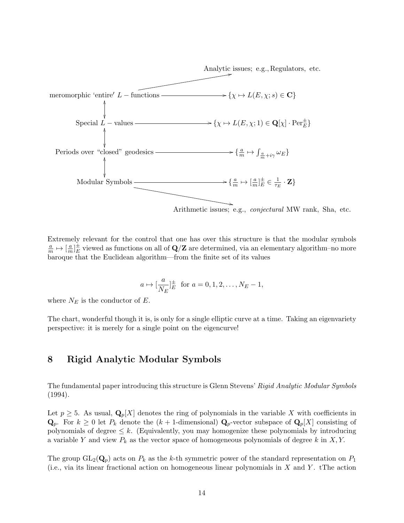

Arithmetic issues; e.g., *conjectural* MW rank, Sha, etc.

Extremely relevant for the control that one has over this structure is that the modular symbols  $\frac{a}{m} \mapsto [\frac{a}{m}]_E^{\pm}$  viewed as functions on all of  $\mathbf{Q}/\mathbf{Z}$  are determined, via an elementary algorithm–no more baroque that the Euclidean algorithm—from the finite set of its values

$$
a \mapsto [\frac{a}{N_E}]_E^{\pm}
$$
 for  $a = 0, 1, 2, ..., N_E - 1$ ,

where  $N_E$  is the conductor of E.

The chart, wonderful though it is, is only for a single elliptic curve at a time. Taking an eigenvariety perspective: it is merely for a single point on the eigencurve!

## 8 Rigid Analytic Modular Symbols

The fundamental paper introducing this structure is Glenn Stevens' *Rigid Analytic Modular Symbols* (1994).

Let  $p \geq 5$ . As usual,  $\mathbf{Q}_p[X]$  denotes the ring of polynomials in the variable X with coefficients in  $\mathbf{Q}_p$ . For  $k \geq 0$  let  $P_k$  denote the  $(k+1$ -dimensional)  $\mathbf{Q}_p$ -vector subspace of  $\mathbf{Q}_p[X]$  consisting of polynomials of degree  $\leq k$ . (Equivalently, you may homogenize these polynomials by introducing a variable Y and view  $P_k$  as the vector space of homogeneous polynomials of degree k in X, Y.

The group  $GL_2(\mathbf{Q}_p)$  acts on  $P_k$  as the k-th symmetric power of the standard representation on  $P_1$ (i.e., via its linear fractional action on homogeneous linear polynomials in  $X$  and  $Y$ . tThe action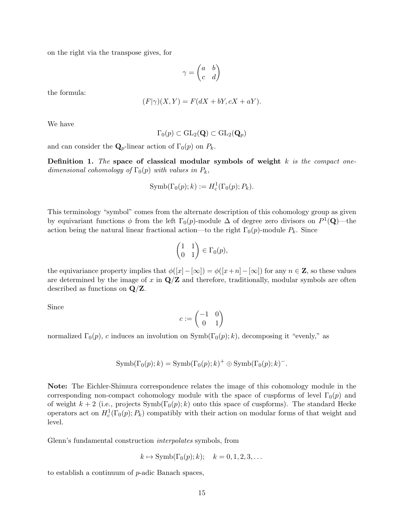on the right via the transpose gives, for

$$
\gamma = \begin{pmatrix} a & b \\ c & d \end{pmatrix}
$$

the formula:

$$
(F|\gamma)(X,Y) = F(dX + bY, cX + aY).
$$

We have

$$
\Gamma_0(p) \subset \mathrm{GL}_2(\mathbf{Q}) \subset \mathrm{GL}_2(\mathbf{Q}_p)
$$

and can consider the  $\mathbf{Q}_p$ -linear action of  $\Gamma_0(p)$  on  $P_k$ .

Definition 1. *The* space of classical modular symbols of weight k *is the compact onedimensional cohomology of*  $\Gamma_0(p)$  *with values in*  $P_k$ ,

$$
Symb(\Gamma_0(p);k) := H_c^1(\Gamma_0(p);P_k).
$$

This terminology "symbol" comes from the alternate description of this cohomology group as given by equivariant functions  $\phi$  from the left  $\Gamma_0(p)$ -module  $\Delta$  of degree zero divisors on  $P^1(\mathbf{Q})$ —the action being the natural linear fractional action—to the right  $\Gamma_0(p)$ -module  $P_k$ . Since

$$
\begin{pmatrix} 1 & 1 \\ 0 & 1 \end{pmatrix} \in \Gamma_0(p),
$$

the equivariance property implies that  $\phi([x]-[\infty]) = \phi([x+n]-[\infty])$  for any  $n \in \mathbb{Z}$ , so these values are determined by the image of x in  $\mathbf{Q}/\mathbf{Z}$  and therefore, traditionally, modular symbols are often described as functions on  $\mathbf{Q}/\mathbf{Z}$ .

Since

$$
c:=\begin{pmatrix}-1&0\\0&1\end{pmatrix}
$$

normalized  $\Gamma_0(p)$ , c induces an involution on  $Symb(\Gamma_0(p); k)$ , decomposing it "evenly," as

$$
Symb(\Gamma_0(p);k) = Symb(\Gamma_0(p);k)^{+} \oplus Symb(\Gamma_0(p);k)^{-}.
$$

Note: The Eichler-Shimura correspondence relates the image of this cohomology module in the corresponding non-compact cohomology module with the space of cuspforms of level  $\Gamma_0(p)$  and of weight  $k + 2$  (i.e., projects  $Symb(\Gamma_0(p); k)$  onto this space of cuspforms). The standard Hecke operators act on  $H_c^1(\Gamma_0(p); P_k)$  compatibly with their action on modular forms of that weight and level.

Glenn's fundamental construction *interpolates* symbols, from

$$
k \mapsto \mathrm{Symb}(\Gamma_0(p);k); \quad k=0,1,2,3,\ldots
$$

to establish a continuum of p-adic Banach spaces,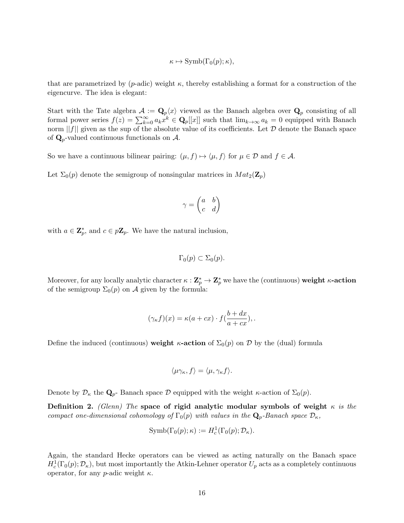$$
\kappa \mapsto \mathrm{Symb}(\Gamma_0(p); \kappa),
$$

that are parametrized by (*p*-adic) weight  $\kappa$ , thereby establishing a format for a construction of the eigencurve. The idea is elegant:

Start with the Tate algebra  $\mathcal{A} := \mathbf{Q}_p \langle x \rangle$  viewed as the Banach algebra over  $\mathbf{Q}_p$  consisting of all formal power series  $f(z) = \sum_{k=0}^{\infty} a_k x^k \in \mathbf{Q}_p[[x]]$  such that  $\lim_{k\to\infty} a_k = 0$  equipped with Banach norm  $||f||$  given as the sup of the absolute value of its coefficients. Let  $D$  denote the Banach space of  $\mathbf{Q}_p$ -valued continuous functionals on A.

So we have a continuous bilinear pairing:  $(\mu, f) \mapsto \langle \mu, f \rangle$  for  $\mu \in \mathcal{D}$  and  $f \in \mathcal{A}$ .

Let  $\Sigma_0(p)$  denote the semigroup of nonsingular matrices in  $Mat_2(\mathbf{Z}_p)$ 

$$
\gamma = \begin{pmatrix} a & b \\ c & d \end{pmatrix}
$$

with  $a \in \mathbb{Z}_p^*$ , and  $c \in p\mathbb{Z}_p$ . We have the natural inclusion,

$$
\Gamma_0(p) \subset \Sigma_0(p).
$$

Moreover, for any locally analytic character  $\kappa : \mathbb{Z}_p^* \to \mathbb{Z}_p^*$  we have the (continuous) weight  $\kappa$ -action of the semigroup  $\Sigma_0(p)$  on A given by the formula:

$$
(\gamma_{\kappa}f)(x) = \kappa(a+cx) \cdot f(\frac{b+dx}{a+cx}),
$$

Define the induced (continuous) weight  $\kappa$ -action of  $\Sigma_0(p)$  on D by the (dual) formula

$$
\langle \mu \gamma_{\kappa}, f \rangle = \langle \mu, \gamma_{\kappa} f \rangle.
$$

Denote by  $\mathcal{D}_{\kappa}$  the  $\mathbf{Q}_p$ - Banach space D equipped with the weight  $\kappa$ -action of  $\Sigma_0(p)$ .

Definition 2. *(Glenn) The* space of rigid analytic modular symbols of weight κ *is the compact one-dimensional cohomology of*  $\Gamma_0(p)$  *with values in the*  $\mathbf{Q}_p$ -Banach space  $\mathcal{D}_\kappa$ ,

$$
\mathrm{Symb}(\Gamma_0(p);\kappa):=H^1_c(\Gamma_0(p);\mathcal{D}_\kappa).
$$

Again, the standard Hecke operators can be viewed as acting naturally on the Banach space  $H_c^1(\Gamma_0(p); \mathcal{D}_\kappa)$ , but most importantly the Atkin-Lehner operator  $U_p$  acts as a completely continuous operator, for any *p*-adic weight  $\kappa$ .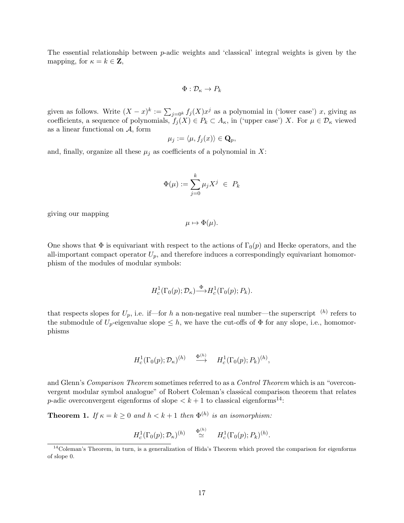The essential relationship between  $p$ -adic weights and 'classical' integral weights is given by the mapping, for  $\kappa = k \in \mathbb{Z}$ ,

$$
\Phi: \mathcal{D}_\kappa \to P_k
$$

given as follows. Write  $(X-x)^k := \sum_{j=0^k} f_j(X)x^j$  as a polynomial in ('lower case') x, giving as coefficients, a sequence of polynomials,  $f_i(X) \in P_k \subset A_\kappa$ , in ('upper case') X. For  $\mu \in \mathcal{D}_\kappa$  viewed as a linear functional on  $A$ , form

$$
\mu_j := \langle \mu, f_j(x) \rangle \in \mathbf{Q}_p,
$$

and, finally, organize all these  $\mu_j$  as coefficients of a polynomial in X:

$$
\Phi(\mu) := \sum_{j=0}^k \mu_j X^j \ \in \ P_k
$$

giving our mapping

$$
\mu \mapsto \Phi(\mu).
$$

One shows that  $\Phi$  is equivariant with respect to the actions of  $\Gamma_0(p)$  and Hecke operators, and the all-important compact operator  $U_p$ , and therefore induces a correspondingly equivariant homomorphism of the modules of modular symbols:

$$
H_c^1(\Gamma_0(p); \mathcal{D}_\kappa) \stackrel{\Phi}{\longrightarrow} H_c^1(\Gamma_0(p); P_k).
$$

that respects slopes for  $U_p$ , i.e. if—for h a non-negative real number—the superscript  $(h)$  refers to the submodule of  $U_p$ -eigenvalue slope  $\leq h$ , we have the cut-offs of  $\Phi$  for any slope, i.e., homomorphisms

$$
H_c^1(\Gamma_0(p); \mathcal{D}_{\kappa})^{(h)} \quad \stackrel{\Phi^{(h)}}{\longrightarrow} \quad H_c^1(\Gamma_0(p); P_k)^{(h)},
$$

and Glenn's *Comparison Theorem* sometimes referred to as a *Control Theorem* which is an "overconvergent modular symbol analogue" of Robert Coleman's classical comparison theorem that relates p-adic overconvergent eigenforms of slope  $\lt k+1$  to classical eigenforms<sup>14</sup>:

**Theorem 1.** *If*  $\kappa = k \geq 0$  *and*  $h < k + 1$  *then*  $\Phi^{(h)}$  *is an isomorphism:* 

$$
H_c^1(\Gamma_0(p); \mathcal{D}_\kappa)^{(h)} \quad \stackrel{\Phi^{(h)}}{\simeq} \quad H_c^1(\Gamma_0(p); P_k)^{(h)}
$$

.

<sup>&</sup>lt;sup>14</sup>Coleman's Theorem, in turn, is a generalization of Hida's Theorem which proved the comparison for eigenforms of slope 0.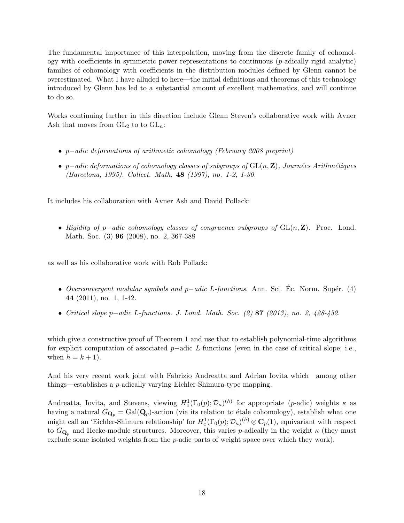The fundamental importance of this interpolation, moving from the discrete family of cohomology with coefficients in symmetric power representations to continuous (p-adically rigid analytic) families of cohomology with coefficients in the distribution modules defined by Glenn cannot be overestimated. What I have alluded to here—the initial definitions and theorems of this technology introduced by Glenn has led to a substantial amount of excellent mathematics, and will continue to do so.

Works continuing further in this direction include Glenn Steven's collaborative work with Avner Ash that moves from  $GL_2$  to to  $GL_n$ :

- p−*adic deformations of arithmetic cohomology (February 2008 preprint)*
- p−*adic deformations of cohomology classes of subgroups of* GL(n, Z)*, Journ´ees Arithm´etiques (Barcelona, 1995). Collect. Math.* 48 *(1997), no. 1-2, 1-30.*

It includes his collaboration with Avner Ash and David Pollack:

• *Rigidity of* p−*adic cohomology classes of congruence subgroups of* GL(n, Z)*.* Proc. Lond. Math. Soc. (3) 96 (2008), no. 2, 367-388

as well as his collaborative work with Rob Pollack:

- *Overconvergent modular symbols and p−adic L-functions.* Ann. Sci. Ec. Norm. Supér. (4) 44 (2011), no. 1, 1-42.
- *Critical slope* p−*adic* L*-functions. J. Lond. Math. Soc. (2)* 87 *(2013), no. 2, 428-452.*

which give a constructive proof of Theorem 1 and use that to establish polynomial-time algorithms for explicit computation of associated p−adic L-functions (even in the case of critical slope; i.e., when  $h = k + 1$ .

And his very recent work joint with Fabrizio Andreatta and Adrian Iovita which—among other things—establishes a p-adically varying Eichler-Shimura-type mapping.

Andreatta, Iovita, and Stevens, viewing  $H_c^1(\Gamma_0(p); \mathcal{D}_\kappa)^{(h)}$  for appropriate (*p*-adic) weights  $\kappa$  as having a natural  $G_{\mathbf{Q}_p} = \text{Gal}(\bar{\mathbf{Q}}_p)$ -action (via its relation to étale cohomology), establish what one might call an 'Eichler-Shimura relationship' for  $H_c^1(\Gamma_0(p); \mathcal{D}_\kappa)^{(h)} \otimes \mathbf{C}_p(1)$ , equivariant with respect to  $G_{\mathbf{Q}_p}$  and Hecke-module structures. Moreover, this varies p-adically in the weight  $\kappa$  (they must exclude some isolated weights from the p-adic parts of weight space over which they work).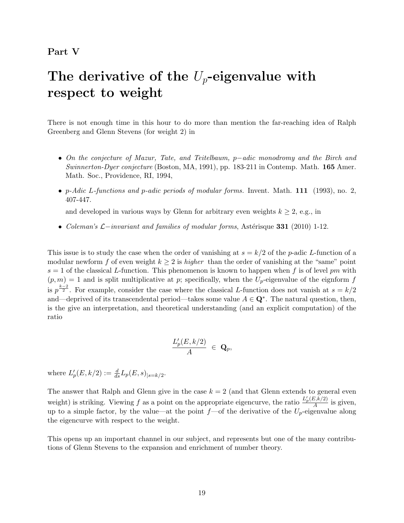## Part V

# The derivative of the *Up*-eigenvalue with respect to weight

There is not enough time in this hour to do more than mention the far-reaching idea of Ralph Greenberg and Glenn Stevens (for weight 2) in

- *On the conjecture of Mazur, Tate, and Teitelbaum,* p−*adic monodromy and the Birch and Swinnerton-Dyer conjecture* (Boston, MA, 1991), pp. 183-211 in Contemp. Math. 165 Amer. Math. Soc., Providence, RI, 1994,
- p*-Adic* L*-functions and* p*-adic periods of modular forms.* Invent. Math. 111 (1993), no. 2, 407-447.

and developed in various ways by Glenn for arbitrary even weights  $k \geq 2$ , e.g., in

• *Coleman's* £−*invariant and families of modular forms*, Astérisque 331 (2010) 1-12.

This issue is to study the case when the order of vanishing at  $s = k/2$  of the p-adic L-function of a modular newform f of even weight  $k \geq 2$  is *higher* than the order of vanishing at the "same" point  $s = 1$  of the classical L-function. This phenomenon is known to happen when f is of level pm with  $(p, m) = 1$  and is split multiplicative at p; specifically, when the  $U_p$ -eigenvalue of the eignform f is  $p^{\frac{k-2}{2}}$ . For example, consider the case where the classical L-function does not vanish at  $s = k/2$ and—deprived of its transcendental period—takes some value  $A \in \mathbb{Q}^*$ . The natural question, then, is the give an interpretation, and theoretical understanding (and an explicit computation) of the ratio

$$
\frac{L'_p(E, k/2)}{A} \;\in\; \mathbf{Q}_p,
$$

where  $L'_{p}(E, k/2) := \frac{d}{ds} L_{p}(E, s)_{|s=k/2}$ .

The answer that Ralph and Glenn give in the case  $k = 2$  (and that Glenn extends to general even weight) is striking. Viewing f as a point on the appropriate eigencurve, the ratio  $\frac{L'_p(E,k/2)}{A}$  is given, up to a simple factor, by the value—at the point  $f$ —of the derivative of the  $U_p$ -eigenvalue along the eigencurve with respect to the weight.

This opens up an important channel in our subject, and represents but one of the many contributions of Glenn Stevens to the expansion and enrichment of number theory.